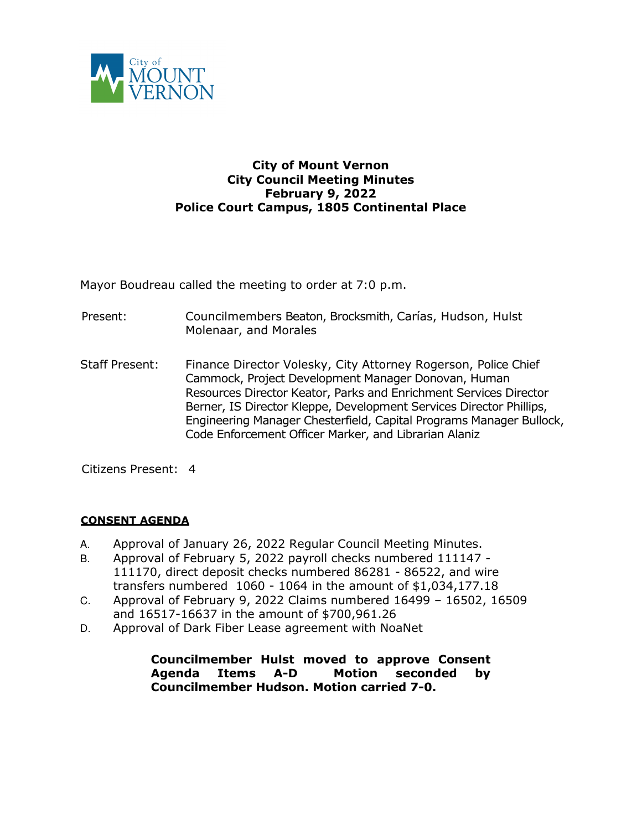

## **City of Mount Vernon City Council Meeting Minutes February 9, 2022 Police Court Campus, 1805 Continental Place**

Mayor Boudreau called the meeting to order at 7:0 p.m.

- Present: Councilmembers Beaton, Brocksmith, Carías, Hudson, Hulst Molenaar, and Morales
- Staff Present: Finance Director Volesky, City Attorney Rogerson, Police Chief Cammock, Project Development Manager Donovan, Human Resources Director Keator, Parks and Enrichment Services Director Berner, IS Director Kleppe, Development Services Director Phillips, Engineering Manager Chesterfield, Capital Programs Manager Bullock, Code Enforcement Officer Marker, and Librarian Alaniz

Citizens Present: 4

## **CONSENT AGENDA**

- A. Approval of January 26, 2022 Regular Council Meeting Minutes.
- B. Approval of February 5, 2022 payroll checks numbered 111147 111170, direct deposit checks numbered 86281 - 86522, and wire transfers numbered 1060 - 1064 in the amount of \$1,034,177.18
- C. Approval of February 9, 2022 Claims numbered 16499 16502, 16509 and 16517-16637 in the amount of \$700,961.26
- D. Approval of Dark Fiber Lease agreement with NoaNet

**Councilmember Hulst moved to approve Consent Agenda Items A-D Motion seconded by Councilmember Hudson. Motion carried 7-0.**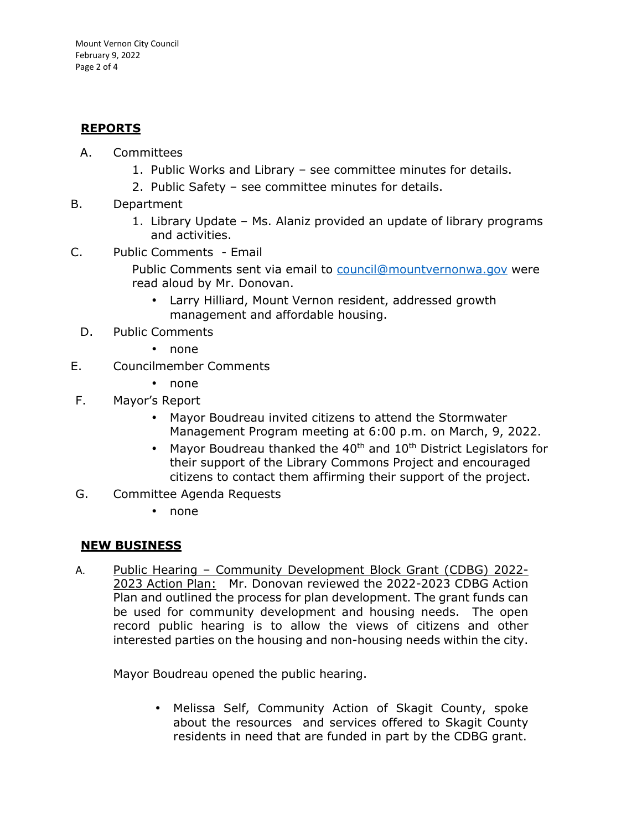## **REPORTS**

- A. Committees
	- 1. Public Works and Library see committee minutes for details.
	- 2. Public Safety see committee minutes for details.
- B. Department
	- 1. Library Update Ms. Alaniz provided an update of library programs and activities.
- C. Public Comments Email

Public Comments sent via email to council@mountvernonwa.gov were read aloud by Mr. Donovan.

- Larry Hilliard, Mount Vernon resident, addressed growth management and affordable housing.
- D. Public Comments
	- none
- E. Councilmember Comments
	- none
- F. Mayor's Report
	- Mayor Boudreau invited citizens to attend the Stormwater Management Program meeting at 6:00 p.m. on March, 9, 2022.
	- Mayor Boudreau thanked the 40<sup>th</sup> and 10<sup>th</sup> District Legislators for their support of the Library Commons Project and encouraged citizens to contact them affirming their support of the project.
- G. Committee Agenda Requests
	- none

## **NEW BUSINESS**

A. Public Hearing – Community Development Block Grant (CDBG) 2022- 2023 Action Plan: Mr. Donovan reviewed the 2022-2023 CDBG Action Plan and outlined the process for plan development. The grant funds can be used for community development and housing needs. The open record public hearing is to allow the views of citizens and other interested parties on the housing and non-housing needs within the city.

Mayor Boudreau opened the public hearing.

• Melissa Self, Community Action of Skagit County, spoke about the resources and services offered to Skagit County residents in need that are funded in part by the CDBG grant.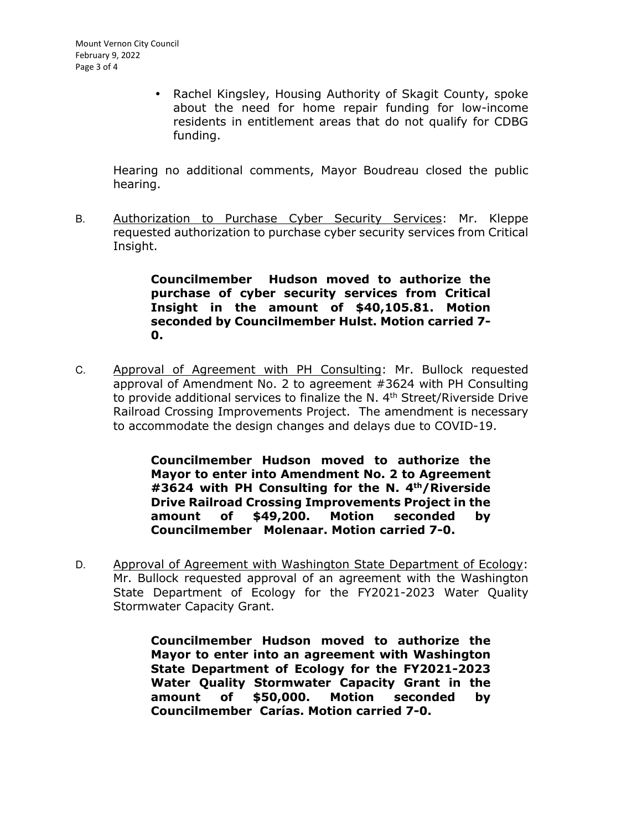• Rachel Kingsley, Housing Authority of Skagit County, spoke about the need for home repair funding for low-income residents in entitlement areas that do not qualify for CDBG funding.

Hearing no additional comments, Mayor Boudreau closed the public hearing.

B. Authorization to Purchase Cyber Security Services: Mr. Kleppe requested authorization to purchase cyber security services from Critical Insight.

> **Councilmember Hudson moved to authorize the purchase of cyber security services from Critical Insight in the amount of \$40,105.81. Motion seconded by Councilmember Hulst. Motion carried 7- 0.**

C. Approval of Agreement with PH Consulting: Mr. Bullock requested approval of Amendment No. 2 to agreement #3624 with PH Consulting to provide additional services to finalize the N. 4<sup>th</sup> Street/Riverside Drive Railroad Crossing Improvements Project. The amendment is necessary to accommodate the design changes and delays due to COVID-19.

> **Councilmember Hudson moved to authorize the Mayor to enter into Amendment No. 2 to Agreement #3624 with PH Consulting for the N. 4th/Riverside Drive Railroad Crossing Improvements Project in the amount of \$49,200. Motion seconded by Councilmember Molenaar. Motion carried 7-0.**

D. Approval of Agreement with Washington State Department of Ecology: Mr. Bullock requested approval of an agreement with the Washington State Department of Ecology for the FY2021-2023 Water Quality Stormwater Capacity Grant.

> **Councilmember Hudson moved to authorize the Mayor to enter into an agreement with Washington State Department of Ecology for the FY2021-2023 Water Quality Stormwater Capacity Grant in the amount of \$50,000. Motion seconded by Councilmember Carías. Motion carried 7-0.**